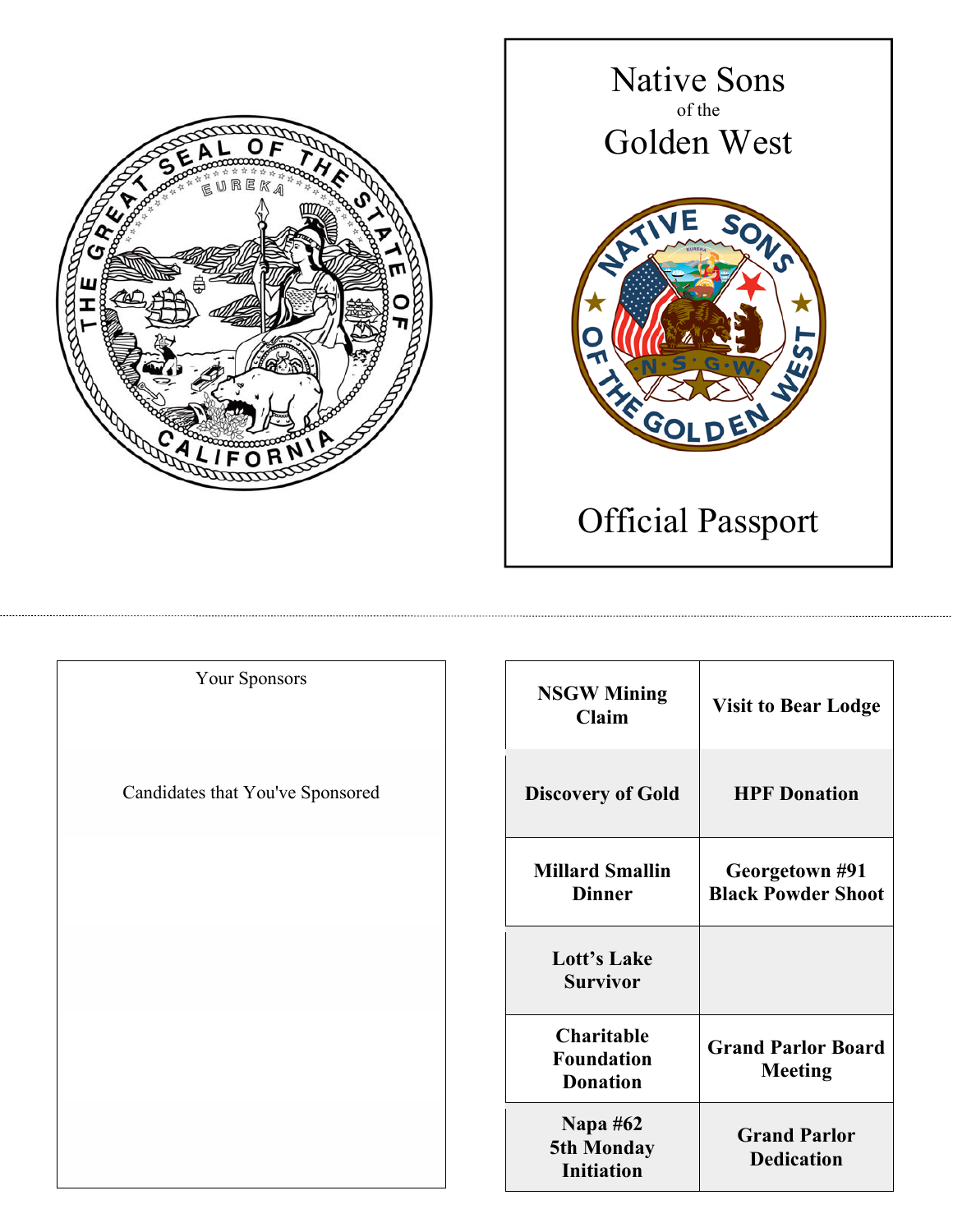



| <b>Your Sponsors</b>             | <b>NSGW Mining</b><br>Claim                               | <b>Visit to Bear Lodge</b>                  |
|----------------------------------|-----------------------------------------------------------|---------------------------------------------|
| Candidates that You've Sponsored | <b>Discovery of Gold</b>                                  | <b>HPF</b> Donation                         |
|                                  | <b>Millard Smallin</b><br><b>Dinner</b>                   | Georgetown #91<br><b>Black Powder Shoot</b> |
|                                  | Lott's Lake<br><b>Survivor</b>                            |                                             |
|                                  | <b>Charitable</b><br><b>Foundation</b><br><b>Donation</b> | <b>Grand Parlor Board</b><br><b>Meeting</b> |
|                                  | <b>Napa #62</b><br>5th Monday<br>Initiation               | <b>Grand Parlor</b><br><b>Dedication</b>    |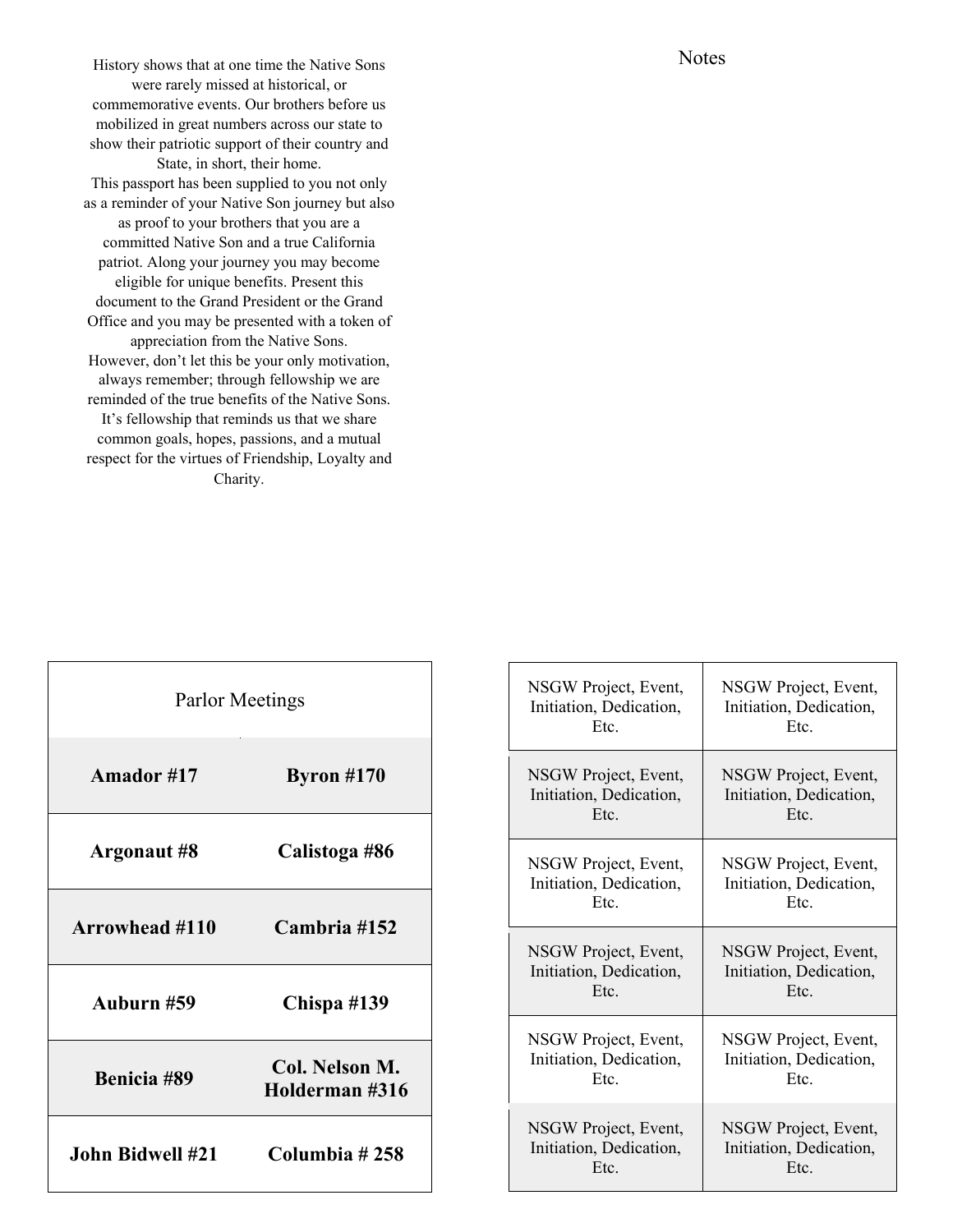History shows that at one time the Native Sons were rarely missed at historical, or commemorative events. Our brothers before us mobilized in great numbers across our state to show their patriotic support of their country and State, in short, their home. This passport has been supplied to you not only as a reminder of your Native Son journey but also as proof to your brothers that you are a committed Native Son and a true California patriot. Along your journey you may become eligible for unique benefits. Present this document to the Grand President or the Grand Office and you may be presented with a token of appreciation from the Native Sons. However, don't let this be your only motivation, always remember; through fellowship we are reminded of the true benefits of the Native Sons. It's fellowship that reminds us that we share common goals, hopes, passions, and a mutual respect for the virtues of Friendship, Loyalty and Charity.

| Parlor Meetings       |                                  |
|-----------------------|----------------------------------|
| Amador #17            | Byron $#170$                     |
| Argonaut #8           | Calistoga #86                    |
| <b>Arrowhead #110</b> | Cambria #152                     |
| Auburn #59            | Chispa #139                      |
| Benicia #89           | Col. Nelson M.<br>Holderman #316 |
| John Bidwell #21      | Columbia #258                    |

| NSGW Project, Event,    | NSGW Project, Event,    |
|-------------------------|-------------------------|
| Initiation, Dedication, | Initiation, Dedication, |
| Etc.                    | Etc.                    |
| NSGW Project, Event,    | NSGW Project, Event,    |
| Initiation, Dedication, | Initiation, Dedication, |
| Etc.                    | Etc.                    |
| NSGW Project, Event,    | NSGW Project, Event,    |
| Initiation, Dedication, | Initiation, Dedication, |
| Etc.                    | Etc.                    |
| NSGW Project, Event,    | NSGW Project, Event,    |
| Initiation, Dedication, | Initiation, Dedication, |
| Etc.                    | Etc.                    |
| NSGW Project, Event,    | NSGW Project, Event,    |
| Initiation, Dedication, | Initiation, Dedication, |
| Etc.                    | Etc.                    |
| NSGW Project, Event,    | NSGW Project, Event,    |
| Initiation, Dedication, | Initiation, Dedication, |
| Etc.                    | Etc.                    |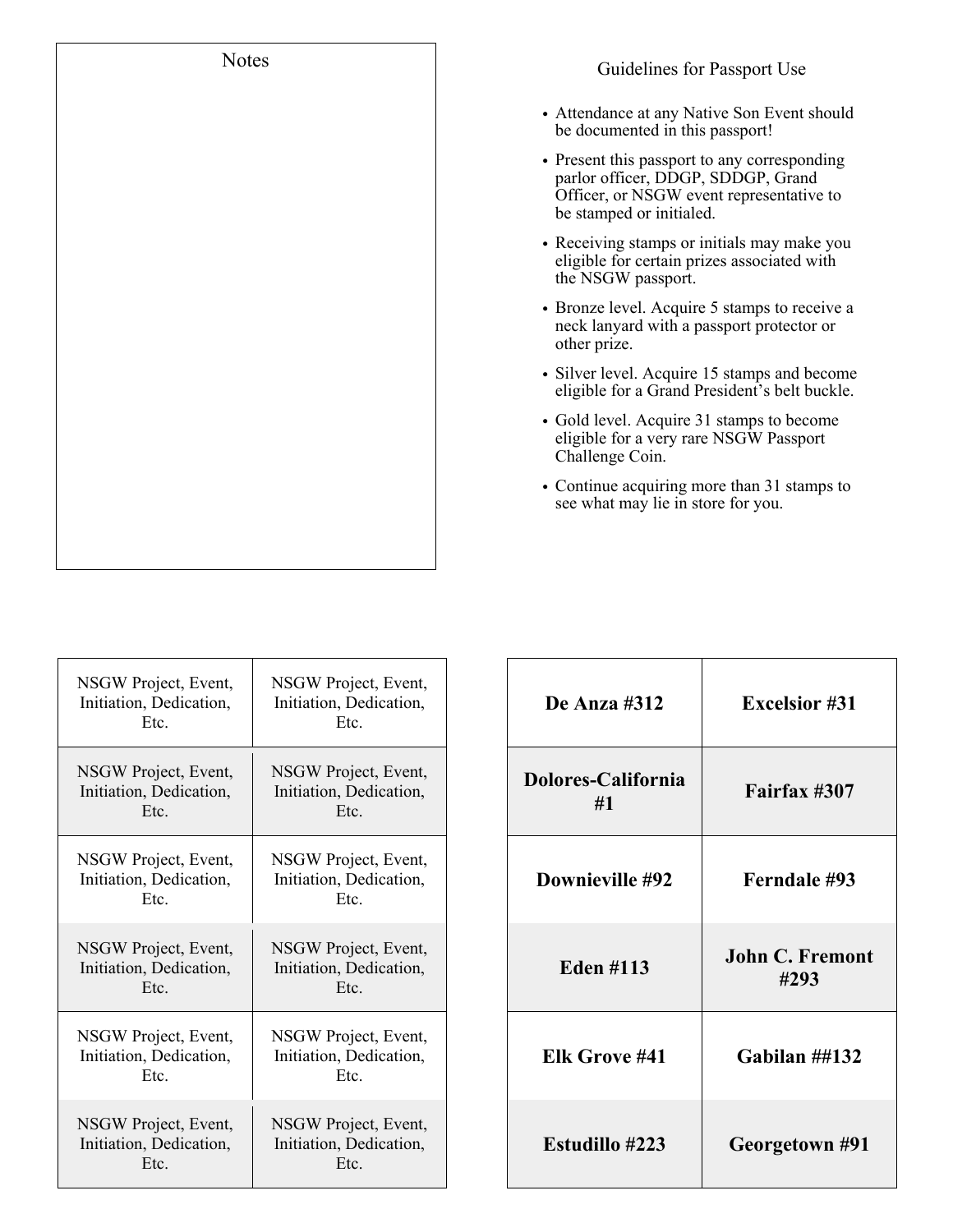| Notes |
|-------|
|       |
|       |
|       |
|       |
|       |
|       |
|       |
|       |
|       |
|       |
|       |

- Attendance at any Native Son Event should be documented in this passport!
- Present this passport to any corresponding parlor officer, DDGP, SDDGP, Grand Officer, or NSGW event representative to be stamped or initialed.
- Receiving stamps or initials may make you eligible for certain prizes associated with the NSGW passport.
- Bronze level. Acquire 5 stamps to receive a neck lanyard with a passport protector or other prize.
- Silver level. Acquire 15 stamps and become eligible for a Grand President's belt buckle.
- Gold level. Acquire 31 stamps to become eligible for a very rare NSGW Passport Challenge Coin.
- Continue acquiring more than 31 stamps to see what may lie in store for you.

| NSGW Project, Event,<br>Initiation, Dedication,<br>Etc. | NSGW Project, Event,<br>Initiation, Dedication,<br>Etc. | De Anza #312             | <b>Excelsior #31</b>           |
|---------------------------------------------------------|---------------------------------------------------------|--------------------------|--------------------------------|
| NSGW Project, Event,<br>Initiation, Dedication,<br>Etc. | NSGW Project, Event,<br>Initiation, Dedication,<br>Etc. | Dolores-California<br>#1 | Fairfax #307                   |
| NSGW Project, Event,<br>Initiation, Dedication,<br>Etc. | NSGW Project, Event,<br>Initiation, Dedication,<br>Etc. | Downieville #92          | Ferndale #93                   |
| NSGW Project, Event,<br>Initiation, Dedication,<br>Etc. | NSGW Project, Event,<br>Initiation, Dedication,<br>Etc. | <b>Eden #113</b>         | <b>John C. Fremont</b><br>#293 |
| NSGW Project, Event,<br>Initiation, Dedication,<br>Etc. | NSGW Project, Event,<br>Initiation, Dedication,<br>Etc. | Elk Grove #41            | Gabilan $\#4132$               |
| NSGW Project, Event,<br>Initiation, Dedication,<br>Etc. | NSGW Project, Event,<br>Initiation, Dedication,<br>Etc. | <b>Estudillo #223</b>    | Georgetown #91                 |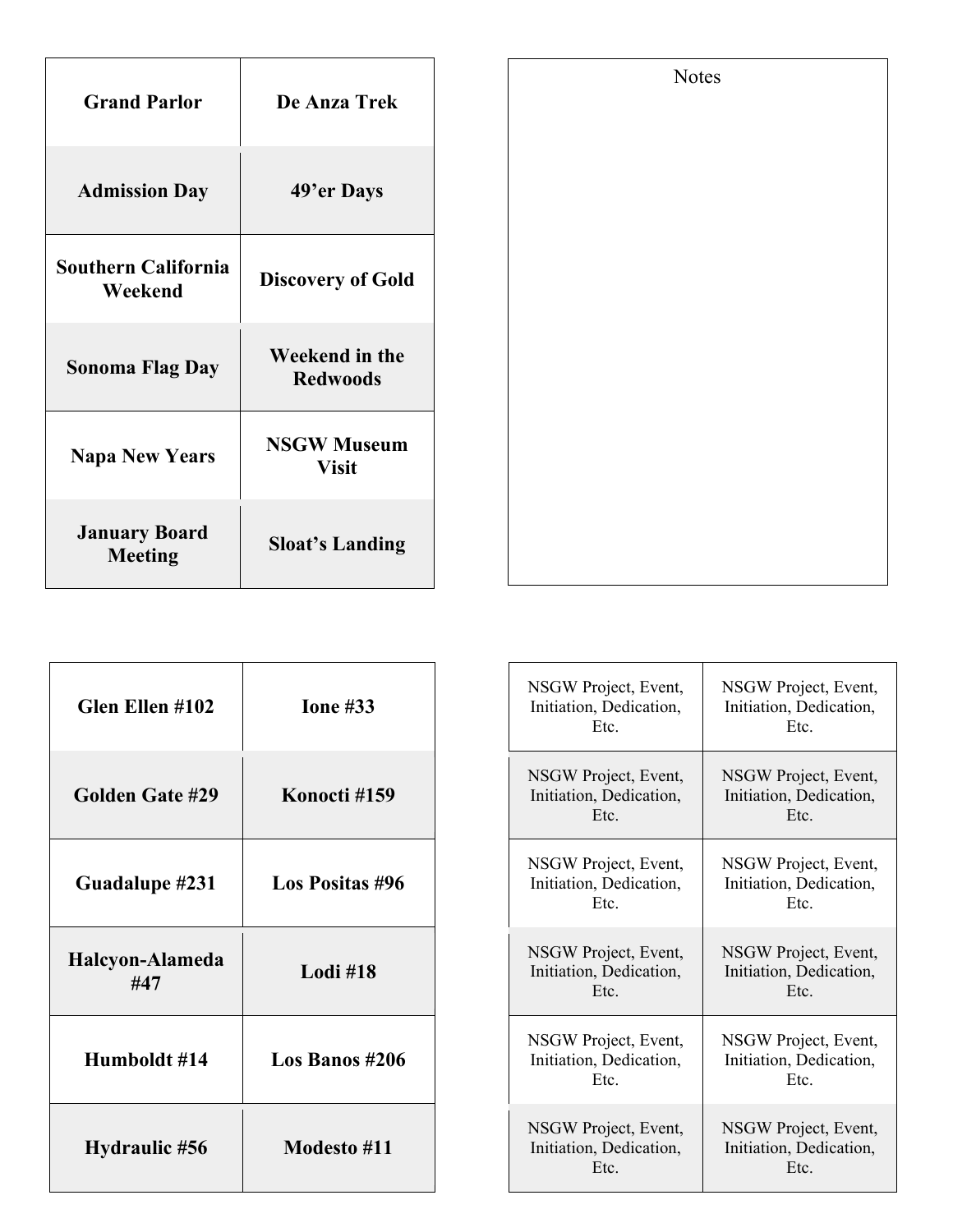| <b>Grand Parlor</b>                    | De Anza Trek                       |
|----------------------------------------|------------------------------------|
| <b>Admission Day</b>                   | 49'er Days                         |
| <b>Southern California</b><br>Weekend  | <b>Discovery of Gold</b>           |
| <b>Sonoma Flag Day</b>                 | Weekend in the<br><b>Redwoods</b>  |
| <b>Napa New Years</b>                  | <b>NSGW Museum</b><br><b>Visit</b> |
| <b>January Board</b><br><b>Meeting</b> | <b>Sloat's Landing</b>             |

| Glen Ellen #102        | <b>Ione #33</b>    | NSGW Project, Event,<br>Initiation, Dedication,<br>Etc. | NSGW Project, Event,<br>Initiation, Dedication,<br>Etc. |
|------------------------|--------------------|---------------------------------------------------------|---------------------------------------------------------|
| <b>Golden Gate #29</b> | Konocti #159       | NSGW Project, Event,<br>Initiation, Dedication,<br>Etc. | NSGW Project, Event,<br>Initiation, Dedication,<br>Etc. |
| Guadalupe #231         | Los Positas #96    | NSGW Project, Event,<br>Initiation, Dedication,<br>Etc. | NSGW Project, Event,<br>Initiation, Dedication,<br>Etc. |
| Halcyon-Alameda<br>#47 | Lodi #18           | NSGW Project, Event,<br>Initiation, Dedication,<br>Etc. | NSGW Project, Event,<br>Initiation, Dedication,<br>Etc. |
| Humboldt #14           | Los Banos #206     | NSGW Project, Event,<br>Initiation, Dedication,<br>Etc. | NSGW Project, Event,<br>Initiation, Dedication,<br>Etc. |
| Hydraulic #56          | <b>Modesto</b> #11 | NSGW Project, Event,<br>Initiation, Dedication,<br>Etc. | NSGW Project, Event,<br>Initiation, Dedication,<br>Etc. |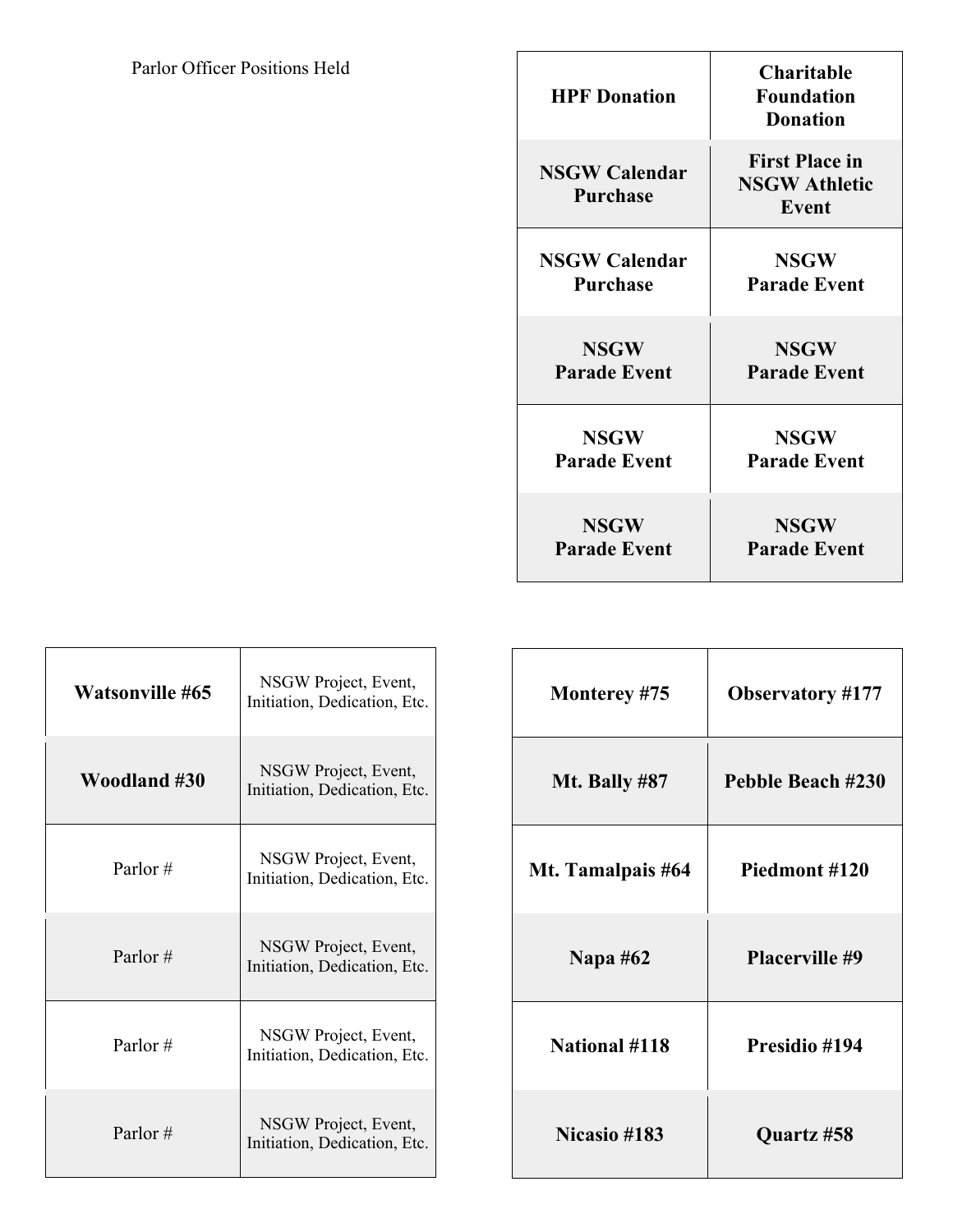| <b>HPF</b> Donation                     | <b>Charitable</b><br><b>Foundation</b><br><b>Donation</b> |
|-----------------------------------------|-----------------------------------------------------------|
| <b>NSGW Calendar</b><br><b>Purchase</b> | <b>First Place in</b><br><b>NSGW Athletic</b><br>Event    |
| <b>NSGW Calendar</b>                    | <b>NSGW</b>                                               |
| <b>Purchase</b>                         | <b>Parade Event</b>                                       |
| <b>NSGW</b>                             | <b>NSGW</b>                                               |
| <b>Parade Event</b>                     | <b>Parade Event</b>                                       |
| <b>NSGW</b>                             | <b>NSGW</b>                                               |
| <b>Parade Event</b>                     | <b>Parade Event</b>                                       |
| <b>NSGW</b>                             | <b>NSGW</b>                                               |
| <b>Parade Event</b>                     | <b>Parade Event</b>                                       |

| <b>Watsonville #65</b> | NSGW Project, Event,<br>Initiation, Dedication, Etc. |
|------------------------|------------------------------------------------------|
| Woodland #30           | NSGW Project, Event,<br>Initiation, Dedication, Etc. |
| Parlor $#$             | NSGW Project, Event,<br>Initiation, Dedication, Etc. |
| Parlor#                | NSGW Project, Event,<br>Initiation, Dedication, Etc. |
| Parlor#                | NSGW Project, Event,<br>Initiation, Dedication, Etc. |
| Parlor $#$             | NSGW Project, Event,<br>Initiation, Dedication, Etc. |

| Monterey #75         | <b>Observatory #177</b> |
|----------------------|-------------------------|
| Mt. Bally #87        | Pebble Beach #230       |
| Mt. Tamalpais #64    | Piedmont #120           |
| <b>Napa #62</b>      | <b>Placerville #9</b>   |
| <b>National #118</b> | Presidio #194           |
| <b>Nicasio</b> #183  | Quartz #58              |